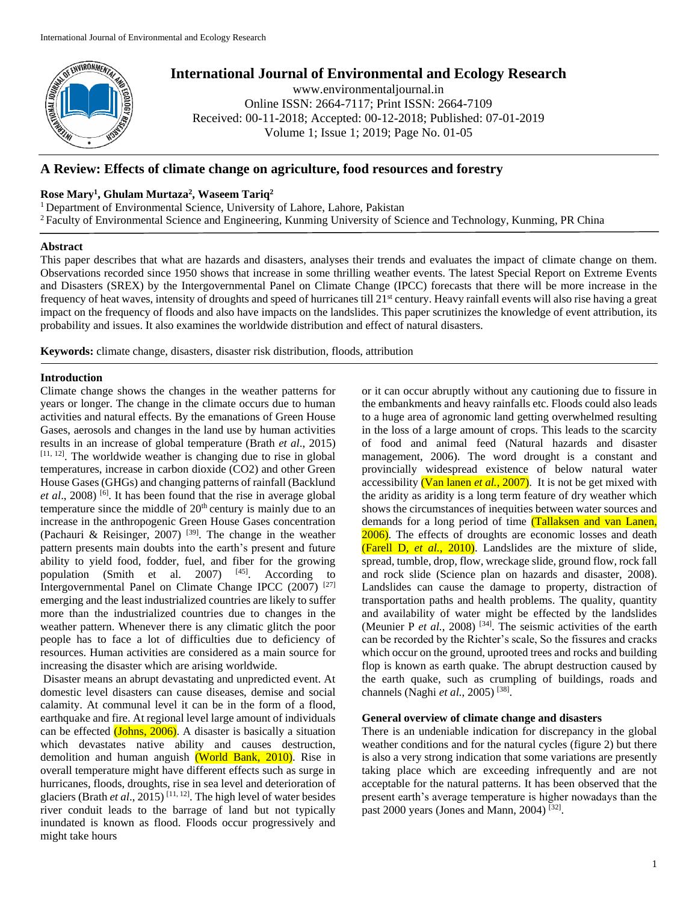

# **International Journal of Environmental and Ecology Research**

www.environmentaljournal.in Online ISSN: 2664-7117; Print ISSN: 2664-7109 Received: 00-11-2018; Accepted: 00-12-2018; Published: 07-01-2019 Volume 1; Issue 1; 2019; Page No. 01-05

# **A Review: Effects of climate change on agriculture, food resources and forestry**

# **Rose Mary<sup>1</sup> , Ghulam Murtaza<sup>2</sup> , Waseem Tariq<sup>2</sup>**

<sup>1</sup> Department of Environmental Science, University of Lahore, Lahore, Pakistan

<sup>2</sup> Faculty of Environmental Science and Engineering, Kunming University of Science and Technology, Kunming, PR China

## **Abstract**

This paper describes that what are hazards and disasters, analyses their trends and evaluates the impact of climate change on them. Observations recorded since 1950 shows that increase in some thrilling weather events. The latest Special Report on Extreme Events and Disasters (SREX) by the Intergovernmental Panel on Climate Change (IPCC) forecasts that there will be more increase in the frequency of heat waves, intensity of droughts and speed of hurricanes till 21<sup>st</sup> century. Heavy rainfall events will also rise having a great impact on the frequency of floods and also have impacts on the landslides. This paper scrutinizes the knowledge of event attribution, its probability and issues. It also examines the worldwide distribution and effect of natural disasters.

**Keywords:** climate change, disasters, disaster risk distribution, floods, attribution

## **Introduction**

Climate change shows the changes in the weather patterns for years or longer. The change in the climate occurs due to human activities and natural effects. By the emanations of Green House Gases, aerosols and changes in the land use by human activities results in an increase of global temperature (Brath *et al*., 2015)  $[11, 12]$ . The worldwide weather is changing due to rise in global temperatures, increase in carbon dioxide (CO2) and other Green House Gases (GHGs) and changing patterns of rainfall (Backlund *et al*., 2008) [6] . It has been found that the rise in average global temperature since the middle of 20<sup>th</sup> century is mainly due to an increase in the anthropogenic Green House Gases concentration (Pachauri & Reisinger, 2007) [39]. The change in the weather pattern presents main doubts into the earth's present and future ability to yield food, fodder, fuel, and fiber for the growing population (Smith et al. 2007) <sup>[45]</sup>. According to Intergovernmental Panel on Climate Change IPCC (2007) [27] emerging and the least industrialized countries are likely to suffer more than the industrialized countries due to changes in the weather pattern. Whenever there is any climatic glitch the poor people has to face a lot of difficulties due to deficiency of resources. Human activities are considered as a main source for increasing the disaster which are arising worldwide.

Disaster means an abrupt devastating and unpredicted event. At domestic level disasters can cause diseases, demise and social calamity. At communal level it can be in the form of a flood, earthquake and fire. At regional level large amount of individuals can be effected (Johns, 2006). A disaster is basically a situation which devastates native ability and causes destruction, demolition and human anguish (World Bank, 2010). Rise in overall temperature might have different effects such as surge in hurricanes, floods, droughts, rise in sea level and deterioration of glaciers (Brath *et al*., 2015) [11, 12]. The high level of water besides river conduit leads to the barrage of land but not typically inundated is known as flood. Floods occur progressively and might take hours

or it can occur abruptly without any cautioning due to fissure in the embankments and heavy rainfalls etc. Floods could also leads to a huge area of agronomic land getting overwhelmed resulting in the loss of a large amount of crops. This leads to the scarcity of food and animal feed (Natural hazards and disaster management, 2006). The word drought is a constant and provincially widespread existence of below natural water accessibility (Van lanen *et al.*, 2007). It is not be get mixed with the aridity as aridity is a long term feature of dry weather which shows the circumstances of inequities between water sources and demands for a long period of time (Tallaksen and van Lanen, 2006). The effects of droughts are economic losses and death (Farell D, *et al.*, 2010). Landslides are the mixture of slide, spread, tumble, drop, flow, wreckage slide, ground flow, rock fall and rock slide (Science plan on hazards and disaster, 2008). Landslides can cause the damage to property, distraction of transportation paths and health problems. The quality, quantity and availability of water might be effected by the landslides (Meunier P *et al.*, 2008) [34]. The seismic activities of the earth can be recorded by the Richter's scale, So the fissures and cracks which occur on the ground, uprooted trees and rocks and building flop is known as earth quake. The abrupt destruction caused by the earth quake, such as crumpling of buildings, roads and channels (Naghi et al., 2005)<sup>[38]</sup>.

## **General overview of climate change and disasters**

There is an undeniable indication for discrepancy in the global weather conditions and for the natural cycles (figure 2) but there is also a very strong indication that some variations are presently taking place which are exceeding infrequently and are not acceptable for the natural patterns. It has been observed that the present earth's average temperature is higher nowadays than the past 2000 years (Jones and Mann, 2004)<sup>[32]</sup>.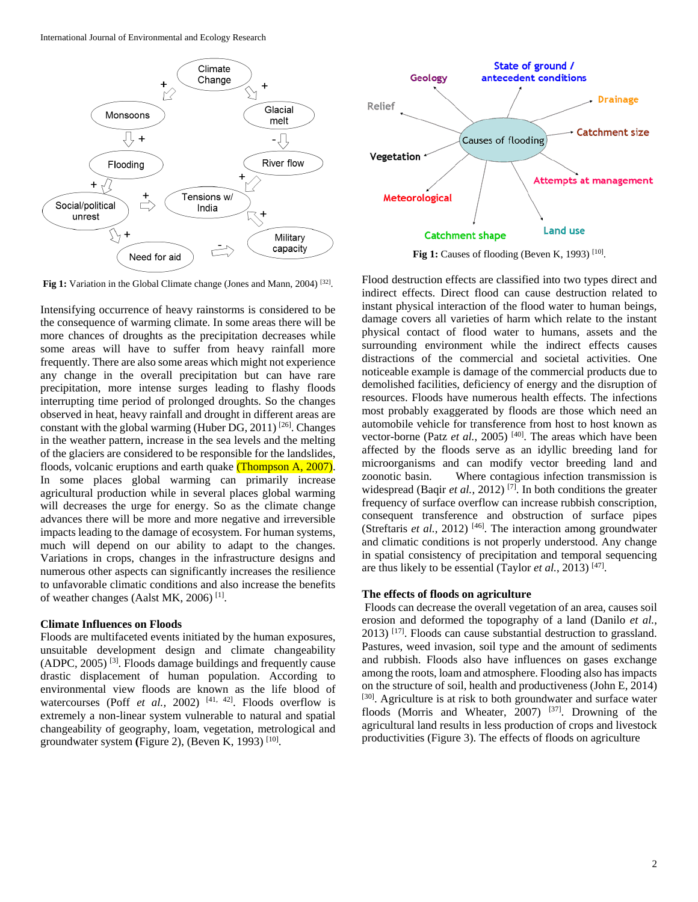International Journal of Environmental and Ecology Research





**Fig 1:** Causes of flooding (Beven K, 1993)  $[10]$ .

Fig 1: Variation in the Global Climate change (Jones and Mann, 2004)<sup>[32]</sup>.

Intensifying occurrence of heavy rainstorms is considered to be the consequence of warming climate. In some areas there will be more chances of droughts as the precipitation decreases while some areas will have to suffer from heavy rainfall more frequently. There are also some areas which might not experience any change in the overall precipitation but can have rare precipitation, more intense surges leading to flashy floods interrupting time period of prolonged droughts. So the changes observed in heat, heavy rainfall and drought in different areas are constant with the global warming (Huber DG, 2011)  $[26]$ . Changes in the weather pattern, increase in the sea levels and the melting of the glaciers are considered to be responsible for the landslides, floods, volcanic eruptions and earth quake (Thompson A, 2007). In some places global warming can primarily increase agricultural production while in several places global warming will decreases the urge for energy. So as the climate change advances there will be more and more negative and irreversible impacts leading to the damage of ecosystem. For human systems, much will depend on our ability to adapt to the changes. Variations in crops, changes in the infrastructure designs and numerous other aspects can significantly increases the resilience to unfavorable climatic conditions and also increase the benefits of weather changes (Aalst MK, 2006)<sup>[1]</sup>.

## **Climate Influences on Floods**

Floods are multifaceted events initiated by the human exposures, unsuitable development design and climate changeability (ADPC, 2005) [3]. Floods damage buildings and frequently cause drastic displacement of human population. According to environmental view floods are known as the life blood of watercourses (Poff *et al.*, 2002)  $[41, 42]$ . Floods overflow is extremely a non-linear system vulnerable to natural and spatial changeability of geography, loam, vegetation, metrological and groundwater system (Figure 2), (Beven K, 1993)<sup>[10]</sup>.

Flood destruction effects are classified into two types direct and indirect effects. Direct flood can cause destruction related to instant physical interaction of the flood water to human beings, damage covers all varieties of harm which relate to the instant physical contact of flood water to humans, assets and the surrounding environment while the indirect effects causes distractions of the commercial and societal activities. One noticeable example is damage of the commercial products due to demolished facilities, deficiency of energy and the disruption of resources. Floods have numerous health effects. The infections most probably exaggerated by floods are those which need an automobile vehicle for transference from host to host known as vector-borne (Patz *et al.*, 2005)<sup>[40]</sup>. The areas which have been affected by the floods serve as an idyllic breeding land for microorganisms and can modify vector breeding land and zoonotic basin. Where contagious infection transmission is widespread (Baqir *et al.*, 2012)<sup>[7]</sup>. In both conditions the greater frequency of surface overflow can increase rubbish conscription, consequent transference and obstruction of surface pipes (Streftaris *et al.*, 2012)<sup>[46]</sup>. The interaction among groundwater and climatic conditions is not properly understood. Any change in spatial consistency of precipitation and temporal sequencing are thus likely to be essential (Taylor *et al.*, 2013)<sup>[47]</sup>.

#### **The effects of floods on agriculture**

Floods can decrease the overall vegetation of an area, causes soil erosion and deformed the topography of a land (Danilo *et al.*, 2013) [17]. Floods can cause substantial destruction to grassland. Pastures, weed invasion, soil type and the amount of sediments and rubbish. Floods also have influences on gases exchange among the roots, loam and atmosphere. Flooding also has impacts on the structure of soil, health and productiveness (John E, 2014) [30]. Agriculture is at risk to both groundwater and surface water floods (Morris and Wheater, 2007) [37]. Drowning of the agricultural land results in less production of crops and livestock productivities (Figure 3). The effects of floods on agriculture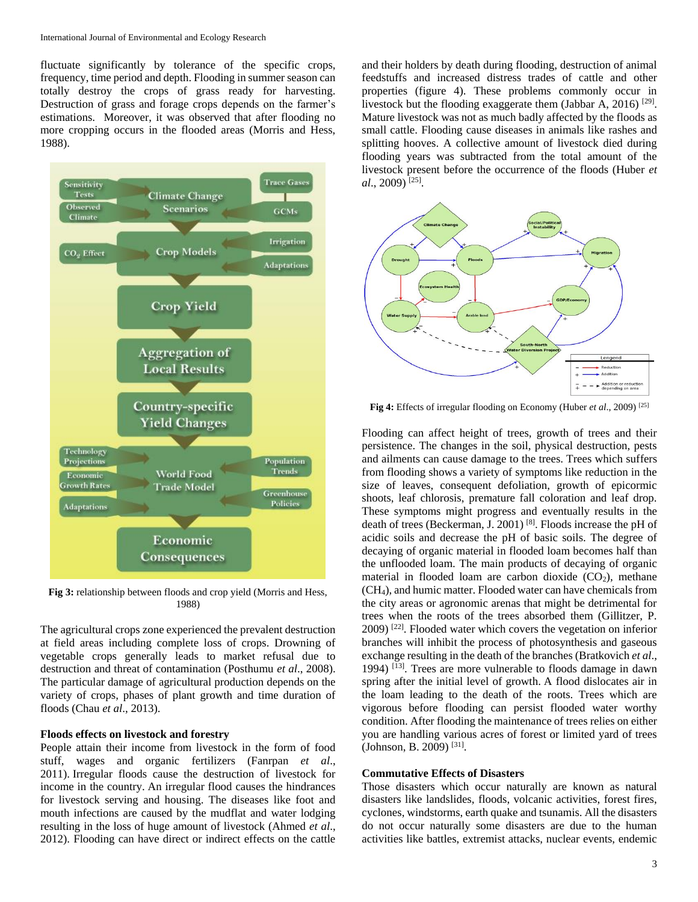fluctuate significantly by tolerance of the specific crops, frequency, time period and depth. Flooding in summer season can totally destroy the crops of grass ready for harvesting. Destruction of grass and forage crops depends on the farmer's estimations. Moreover, it was observed that after flooding no more cropping occurs in the flooded areas (Morris and Hess, 1988).



**Fig 3:** relationship between floods and crop yield (Morris and Hess, 1988)

The agricultural crops zone experienced the prevalent destruction at field areas including complete loss of crops. Drowning of vegetable crops generally leads to market refusal due to destruction and threat of contamination (Posthumu *et al*., 2008). The particular damage of agricultural production depends on the variety of crops, phases of plant growth and time duration of floods (Chau *et al*., 2013).

#### **Floods effects on livestock and forestry**

People attain their income from livestock in the form of food stuff, wages and organic fertilizers (Fanrpan *et al*., 2011). Irregular floods cause the destruction of livestock for income in the country. An irregular flood causes the hindrances for livestock serving and housing. The diseases like foot and mouth infections are caused by the mudflat and water lodging resulting in the loss of huge amount of livestock (Ahmed *et al*., 2012). Flooding can have direct or indirect effects on the cattle

and their holders by death during flooding, destruction of animal feedstuffs and increased distress trades of cattle and other properties (figure 4). These problems commonly occur in livestock but the flooding exaggerate them (Jabbar A, 2016)<sup>[29]</sup>. Mature livestock was not as much badly affected by the floods as small cattle. Flooding cause diseases in animals like rashes and splitting hooves. A collective amount of livestock died during flooding years was subtracted from the total amount of the livestock present before the occurrence of the floods (Huber *et al*., 2009) [25] .



**Fig 4:** Effects of irregular flooding on Economy (Huber *et al*., 2009) [25]

Flooding can affect height of trees, growth of trees and their persistence. The changes in the soil, physical destruction, pests and ailments can cause damage to the trees. Trees which suffers from flooding shows a variety of symptoms like reduction in the size of leaves, consequent defoliation, growth of epicormic shoots, leaf chlorosis, premature fall coloration and leaf drop. These symptoms might progress and eventually results in the death of trees (Beckerman, J. 2001) [8]. Floods increase the pH of acidic soils and decrease the pH of basic soils. The degree of decaying of organic material in flooded loam becomes half than the unflooded loam. The main products of decaying of organic material in flooded loam are carbon dioxide  $(CO<sub>2</sub>)$ , methane (CH4), and humic matter. Flooded water can have chemicals from the city areas or agronomic arenas that might be detrimental for trees when the roots of the trees absorbed them (Gillitzer, P. 2009) [22]. Flooded water which covers the vegetation on inferior branches will inhibit the process of photosynthesis and gaseous exchange resulting in the death of the branches (Bratkovich *et al*., 1994) [13]. Trees are more vulnerable to floods damage in dawn spring after the initial level of growth. A flood dislocates air in the loam leading to the death of the roots. Trees which are vigorous before flooding can persist flooded water worthy condition. After flooding the maintenance of trees relies on either you are handling various acres of forest or limited yard of trees (Johnson, B. 2009)<sup>[31]</sup>.

#### **Commutative Effects of Disasters**

Those disasters which occur naturally are known as natural disasters like landslides, floods, volcanic activities, forest fires, cyclones, windstorms, earth quake and tsunamis. All the disasters do not occur naturally some disasters are due to the human activities like battles, extremist attacks, nuclear events, endemic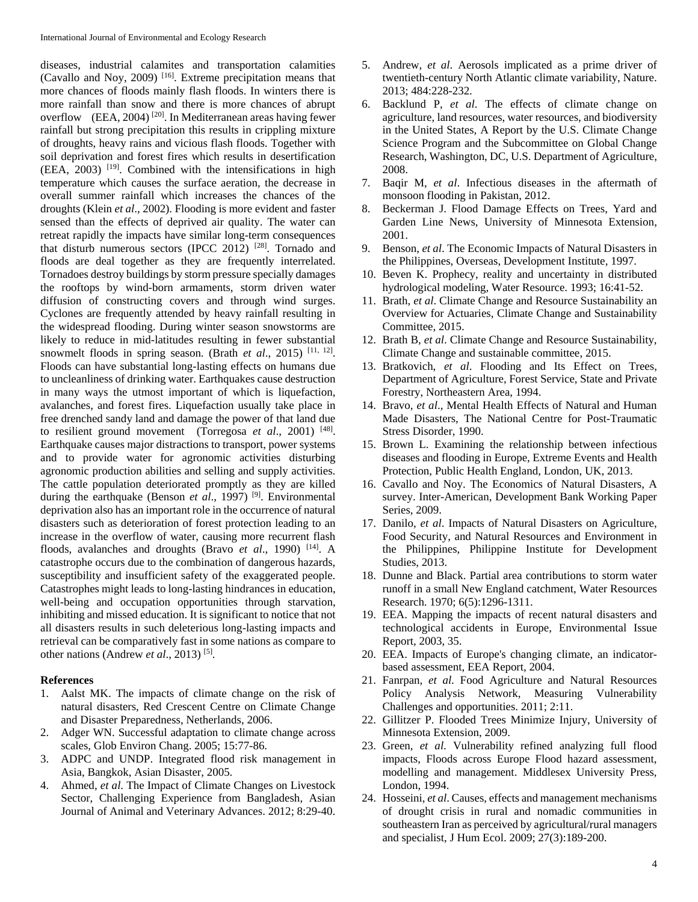diseases, industrial calamites and transportation calamities (Cavallo and Noy, 2009) [16]. Extreme precipitation means that more chances of floods mainly flash floods. In winters there is more rainfall than snow and there is more chances of abrupt overflow (EEA, 2004)<sup>[20]</sup>. In Mediterranean areas having fewer rainfall but strong precipitation this results in crippling mixture of droughts, heavy rains and vicious flash floods. Together with soil deprivation and forest fires which results in desertification (EEA, 2003) [19]. Combined with the intensifications in high temperature which causes the surface aeration, the decrease in overall summer rainfall which increases the chances of the droughts (Klein *et al*., 2002). Flooding is more evident and faster sensed than the effects of deprived air quality. The water can retreat rapidly the impacts have similar long-term consequences that disturb numerous sectors (IPCC 2012) <sup>[28]</sup>. Tornado and floods are deal together as they are frequently interrelated. Tornadoes destroy buildings by storm pressure specially damages the rooftops by wind-born armaments, storm driven water diffusion of constructing covers and through wind surges. Cyclones are frequently attended by heavy rainfall resulting in the widespread flooding. During winter season snowstorms are likely to reduce in mid-latitudes resulting in fewer substantial snowmelt floods in spring season. (Brath *et al.*, 2015)<sup>[11, 12]</sup>. Floods can have substantial long-lasting effects on humans due to uncleanliness of drinking water. Earthquakes cause destruction in many ways the utmost important of which is liquefaction, avalanches, and forest fires. Liquefaction usually take place in free drenched sandy land and damage the power of that land due to resilient ground movement (Torregosa *et al*., 2001) [48] . Earthquake causes major distractions to transport, power systems and to provide water for agronomic activities disturbing agronomic production abilities and selling and supply activities. The cattle population deteriorated promptly as they are killed during the earthquake (Benson *et al*., 1997) [9]. Environmental deprivation also has an important role in the occurrence of natural disasters such as deterioration of forest protection leading to an increase in the overflow of water, causing more recurrent flash floods, avalanches and droughts (Bravo *et al*., 1990) [14]. A catastrophe occurs due to the combination of dangerous hazards, susceptibility and insufficient safety of the exaggerated people. Catastrophes might leads to long-lasting hindrances in education, well-being and occupation opportunities through starvation, inhibiting and missed education. It is significant to notice that not all disasters results in such deleterious long-lasting impacts and retrieval can be comparatively fast in some nations as compare to other nations (Andrew *et al.*, 2013)<sup>[5]</sup>.

#### **References**

- 1. Aalst MK. The impacts of climate change on the risk of natural disasters, Red Crescent Centre on Climate Change and Disaster Preparedness, Netherlands, 2006.
- 2. Adger WN. Successful adaptation to climate change across scales, Glob Environ Chang. 2005; 15:77-86.
- 3. ADPC and UNDP. Integrated flood risk management in Asia, Bangkok, Asian Disaster, 2005.
- 4. Ahmed, *et al*. The Impact of Climate Changes on Livestock Sector, Challenging Experience from Bangladesh, Asian Journal of Animal and Veterinary Advances. 2012; 8:29-40.
- 5. Andrew, *et al*. Aerosols implicated as a prime driver of twentieth-century North Atlantic climate variability, Nature. 2013; 484:228-232.
- 6. Backlund P, *et al*. The effects of climate change on agriculture, land resources, water resources, and biodiversity in the United States*,* A Report by the U.S. Climate Change Science Program and the Subcommittee on Global Change Research, Washington, DC, U.S. Department of Agriculture, 2008.
- 7. Baqir M, *et al*. Infectious diseases in the aftermath of monsoon flooding in Pakistan, 2012.
- 8. Beckerman J. Flood Damage Effects on Trees, Yard and Garden Line News, University of Minnesota Extension, 2001.
- 9. Benson, *et al*. The Economic Impacts of Natural Disasters in the Philippines, Overseas, Development Institute, 1997.
- 10. Beven K. Prophecy, reality and uncertainty in distributed hydrological modeling, Water Resource. 1993; 16:41-52.
- 11. Brath, *et al*. Climate Change and Resource Sustainability an Overview for Actuaries, Climate Change and Sustainability Committee, 2015.
- 12. Brath B, *et al*. Climate Change and Resource Sustainability, Climate Change and sustainable committee, 2015.
- 13. Bratkovich, *et al*. Flooding and Its Effect on Trees, Department of Agriculture, Forest Service, State and Private Forestry, Northeastern Area, 1994.
- 14. Bravo, *et al*., Mental Health Effects of Natural and Human Made Disasters, The National Centre for Post-Traumatic Stress Disorder, 1990.
- 15. Brown L. Examining the relationship between infectious diseases and flooding in Europe, Extreme Events and Health Protection, Public Health England, London, UK, 2013.
- 16. Cavallo and Noy. The Economics of Natural Disasters, A survey. Inter-American, Development Bank Working Paper Series, 2009.
- 17. Danilo, *et al*. Impacts of Natural Disasters on Agriculture, Food Security, and Natural Resources and Environment in the Philippines, Philippine Institute for Development Studies, 2013.
- 18. Dunne and Black. Partial area contributions to storm water runoff in a small New England catchment, Water Resources Research. 1970; 6(5):1296-1311.
- 19. EEA. Mapping the impacts of recent natural disasters and technological accidents in Europe, Environmental Issue Report, 2003, 35.
- 20. EEA. Impacts of Europe's changing climate, an indicatorbased assessment, EEA Report, 2004.
- 21. Fanrpan, *et al*. Food Agriculture and Natural Resources Policy Analysis Network, Measuring Vulnerability Challenges and opportunities. 2011; 2:11.
- 22. Gillitzer P. Flooded Trees Minimize Injury, University of Minnesota Extension, 2009.
- 23. Green, *et al*. Vulnerability refined analyzing full flood impacts, Floods across Europe Flood hazard assessment, modelling and management. Middlesex University Press, London, 1994.
- 24. Hosseini, *et al*. Causes, effects and management mechanisms of drought crisis in rural and nomadic communities in southeastern Iran as perceived by agricultural/rural managers and specialist, J Hum Ecol. 2009; 27(3):189-200.